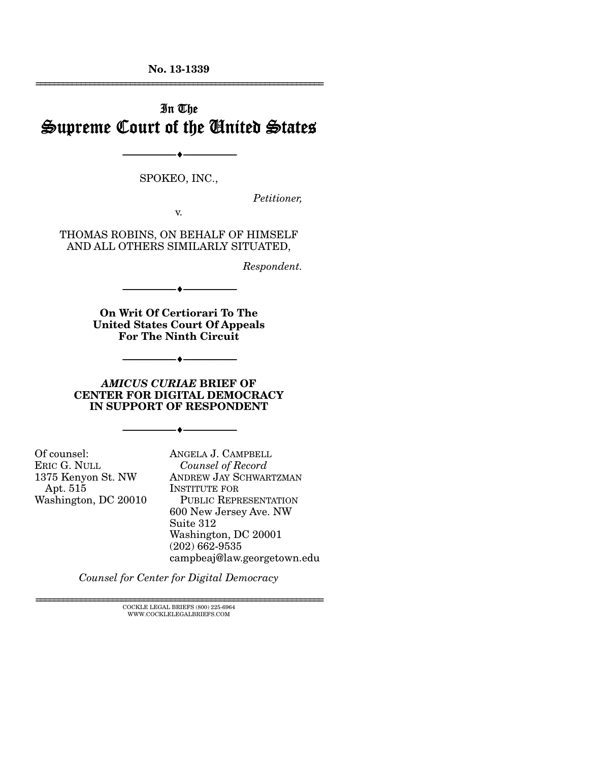**No. 13-1339**  ================================================================

# In The Supreme Court of the United States

SPOKEO, INC.,

--------------------------------- ---------------------------------

*Petitioner,* 

v.

THOMAS ROBINS, ON BEHALF OF HIMSELF AND ALL OTHERS SIMILARLY SITUATED,

*Respondent.* 

**On Writ Of Certiorari To The United States Court Of Appeals For The Ninth Circuit** 

--------------------------------- ---------------------------------

*AMICUS CURIAE* **BRIEF OF CENTER FOR DIGITAL DEMOCRACY IN SUPPORT OF RESPONDENT** 

--------------------------------- ---------------------------------

--------------------------------- ---------------------------------

Of counsel: ERIC G. NULL 1375 Kenyon St. NW Apt. 515 Washington, DC 20010

ANGELA J. CAMPBELL *Counsel of Record* ANDREW JAY SCHWARTZMAN INSTITUTE FOR PUBLIC REPRESENTATION 600 New Jersey Ave. NW Suite 312 Washington, DC 20001 (202) 662-9535 campbeaj@law.georgetown.edu

*Counsel for Center for Digital Democracy* 

 $\textsc{COCKLE}$  LEGAL BRIEFS (800) 225-6964 WWW.COCKLELEGALBRIEFS.COM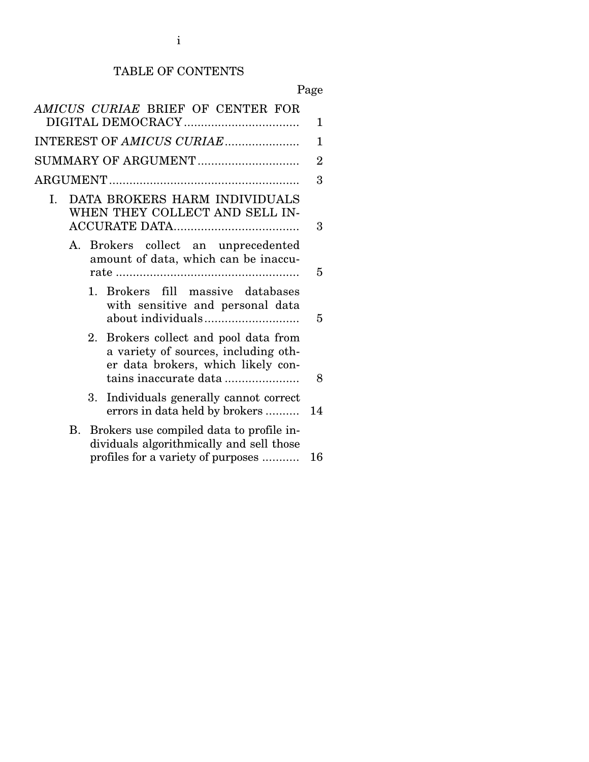# TABLE OF CONTENTS

| AMICUS CURIAE BRIEF OF CENTER FOR                                                                                                            | 1              |
|----------------------------------------------------------------------------------------------------------------------------------------------|----------------|
| INTEREST OF AMICUS CURIAE                                                                                                                    | 1              |
| SUMMARY OF ARGUMENT                                                                                                                          | $\overline{2}$ |
|                                                                                                                                              | 3              |
| DATA BROKERS HARM INDIVIDUALS<br>I.<br>WHEN THEY COLLECT AND SELL IN-                                                                        | 3              |
| A. Brokers collect an unprecedented<br>amount of data, which can be inaccu-                                                                  | 5              |
| 1. Brokers fill massive databases<br>with sensitive and personal data                                                                        | 5              |
| 2. Brokers collect and pool data from<br>a variety of sources, including oth-<br>er data brokers, which likely con-<br>tains inaccurate data | 8              |
| Individuals generally cannot correct<br>3.<br>errors in data held by brokers                                                                 | 14             |
| Brokers use compiled data to profile in-<br>В.<br>dividuals algorithmically and sell those<br>profiles for a variety of purposes             | 16             |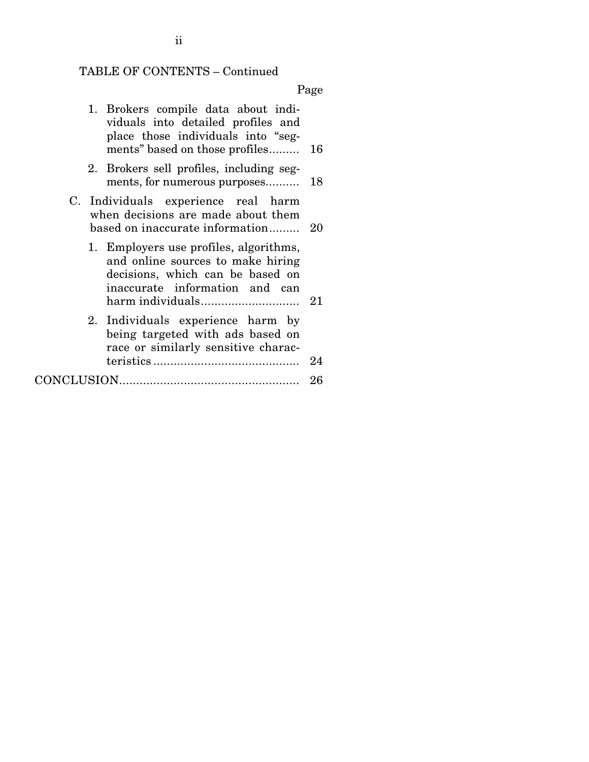# TABLE OF CONTENTS – Continued

Page

| 1. Brokers compile data about indi-<br>viduals into detailed profiles and<br>place those individuals into "seg-<br>ments" based on those profiles | 16 |
|---------------------------------------------------------------------------------------------------------------------------------------------------|----|
| 2. Brokers sell profiles, including seg-<br>ments, for numerous purposes                                                                          | 18 |
| C. Individuals experience real harm<br>when decisions are made about them<br>based on inaccurate information                                      | 20 |
| 1. Employers use profiles, algorithms,<br>and online sources to make hiring<br>decisions, which can be based on<br>inaccurate information and can |    |
| 2. Individuals experience harm by<br>being targeted with ads based on<br>race or similarly sensitive charac-                                      |    |
|                                                                                                                                                   | 26 |

ii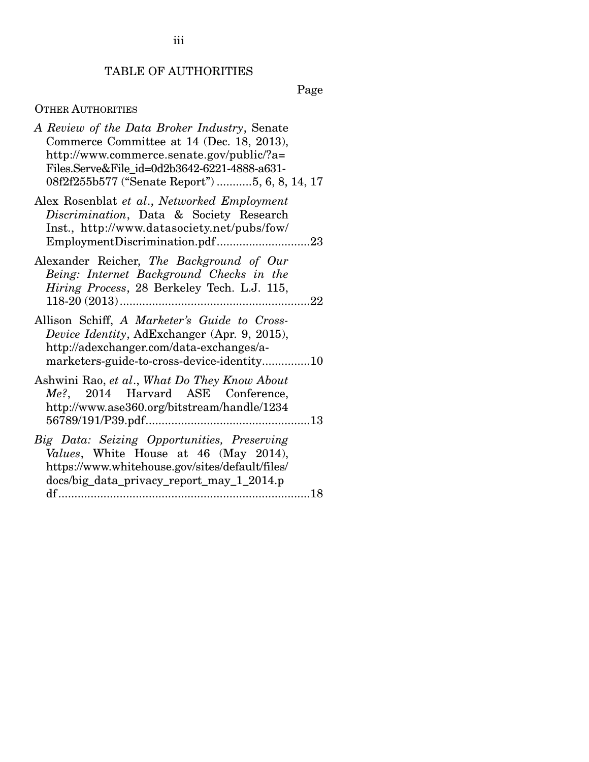iii

## TABLE OF AUTHORITIES

Page

## OTHER AUTHORITIES

| A Review of the Data Broker Industry, Senate<br>Commerce Committee at 14 (Dec. 18, 2013),<br>http://www.commerce.senate.gov/public/?a=<br>Files.Serve&File id=0d2b3642-6221-4888-a631-<br>08f2f255b577 ("Senate Report") 5, 6, 8, 14, 17 |
|------------------------------------------------------------------------------------------------------------------------------------------------------------------------------------------------------------------------------------------|
| Alex Rosenblat et al., Networked Employment<br>Discrimination, Data & Society Research<br>Inst., http://www.datasociety.net/pubs/fow/<br>EmploymentDiscrimination.pdf23                                                                  |
| Alexander Reicher, The Background of Our<br>Being: Internet Background Checks in the<br>Hiring Process, 28 Berkeley Tech. L.J. 115,                                                                                                      |
| Allison Schiff, A Marketer's Guide to Cross-<br>Device Identity, AdExchanger (Apr. 9, 2015),<br>http://adexchanger.com/data-exchanges/a-<br>marketers-guide-to-cross-device-identity10                                                   |
| Ashwini Rao, et al., What Do They Know About<br>Me?, 2014 Harvard ASE Conference,<br>http://www.ase360.org/bitstream/handle/1234                                                                                                         |
| Big Data: Seizing Opportunities, Preserving<br>Values, White House at 46 (May 2014),<br>https://www.whitehouse.gov/sites/default/files/<br>docs/big_data_privacy_report_may_1_2014.p                                                     |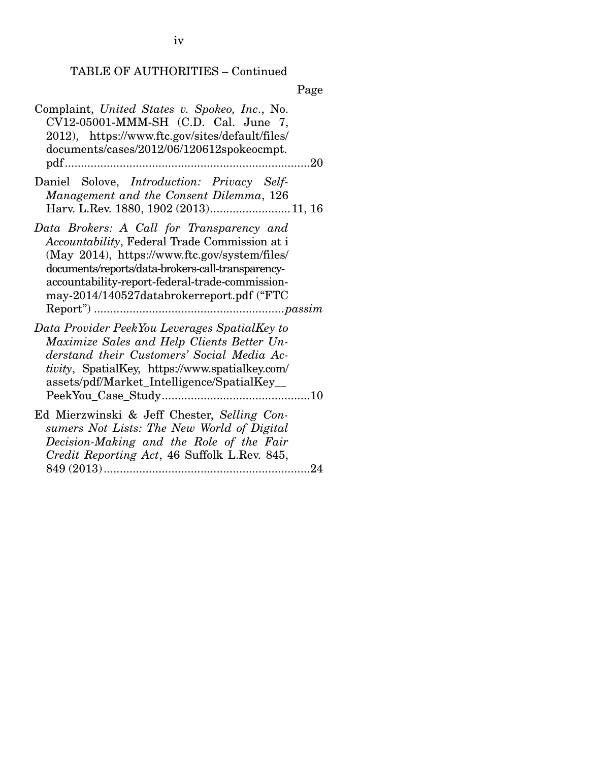## TABLE OF AUTHORITIES – Continued

| Complaint, United States v. Spokeo, Inc., No.<br>$CV12-05001-MMM-SH$ (C.D. Cal. June 7,<br>2012), https://www.ftc.gov/sites/default/files/<br>documents/cases/2012/06/120612spokeocmpt.                                                                                                          |
|--------------------------------------------------------------------------------------------------------------------------------------------------------------------------------------------------------------------------------------------------------------------------------------------------|
| Daniel Solove, <i>Introduction: Privacy Self-</i><br>Management and the Consent Dilemma, 126<br>Harv. L.Rev. 1880, 1902 (2013) 11, 16                                                                                                                                                            |
| Data Brokers: A Call for Transparency and<br>Accountability, Federal Trade Commission at i<br>(May 2014), https://www.ftc.gov/system/files/<br>documents/reports/data-brokers-call-transparency-<br>accountability-report-federal-trade-commission-<br>may-2014/140527databrokerreport.pdf ("FTC |
| Data Provider PeekYou Leverages SpatialKey to<br>Maximize Sales and Help Clients Better Un-<br>derstand their Customers' Social Media Ac-<br><i>tivity</i> , SpatialKey, https://www.spatialkey.com/<br>assets/pdf/Market_Intelligence/SpatialKey_                                               |
| Ed Mierzwinski & Jeff Chester, Selling Con-<br>sumers Not Lists: The New World of Digital<br>Decision-Making and the Role of the Fair<br>Credit Reporting Act, 46 Suffolk L.Rev. 845,<br>$\ldots$ 24                                                                                             |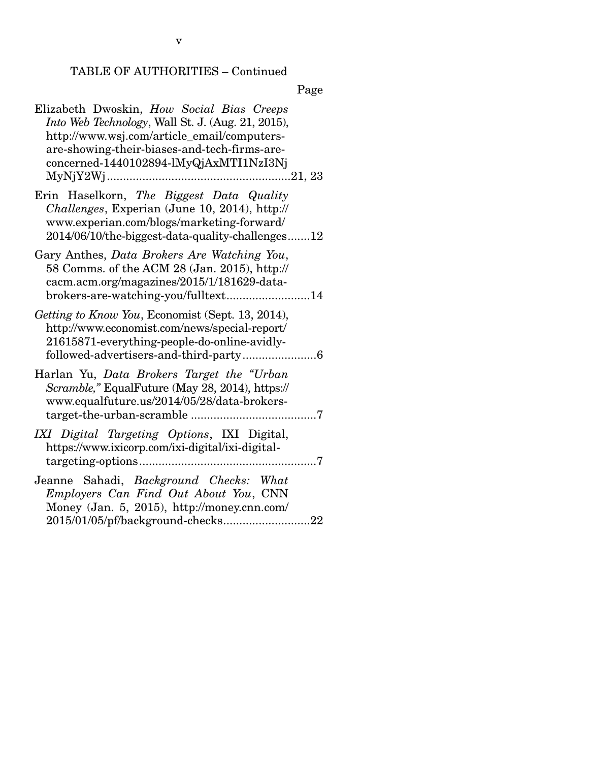# TABLE OF AUTHORITIES – Continued

| Elizabeth Dwoskin, How Social Bias Creeps<br>Into Web Technology, Wall St. J. (Aug. 21, 2015),<br>http://www.wsj.com/article_email/computers-<br>are-showing-their-biases-and-tech-firms-are-<br>concerned-1440102894-lMyQjAxMTI1NzI3Nj |
|-----------------------------------------------------------------------------------------------------------------------------------------------------------------------------------------------------------------------------------------|
| Erin Haselkorn, The Biggest Data Quality<br>Challenges, Experian (June 10, 2014), http://<br>www.experian.com/blogs/marketing-forward/<br>2014/06/10/the-biggest-data-quality-challenges12                                              |
| Gary Anthes, Data Brokers Are Watching You,<br>58 Comms. of the ACM 28 (Jan. 2015), http://<br>cacm.acm.org/magazines/2015/1/181629-data-<br>brokers-are-watching-you/fulltext14                                                        |
| Getting to Know You, Economist (Sept. 13, 2014),<br>http://www.economist.com/news/special-report/<br>21615871-everything-people-do-online-avidly-                                                                                       |
| Harlan Yu, Data Brokers Target the "Urban<br>Scramble," EqualFuture (May 28, 2014), https://<br>www.equalfuture.us/2014/05/28/data-brokers-                                                                                             |
| IXI Digital Targeting Options, IXI Digital,<br>https://www.ixicorp.com/ixi-digital/ixi-digital-                                                                                                                                         |
| Jeanne Sahadi, Background Checks: What<br>Employers Can Find Out About You, CNN<br>Money (Jan. 5, 2015), http://money.cnn.com/                                                                                                          |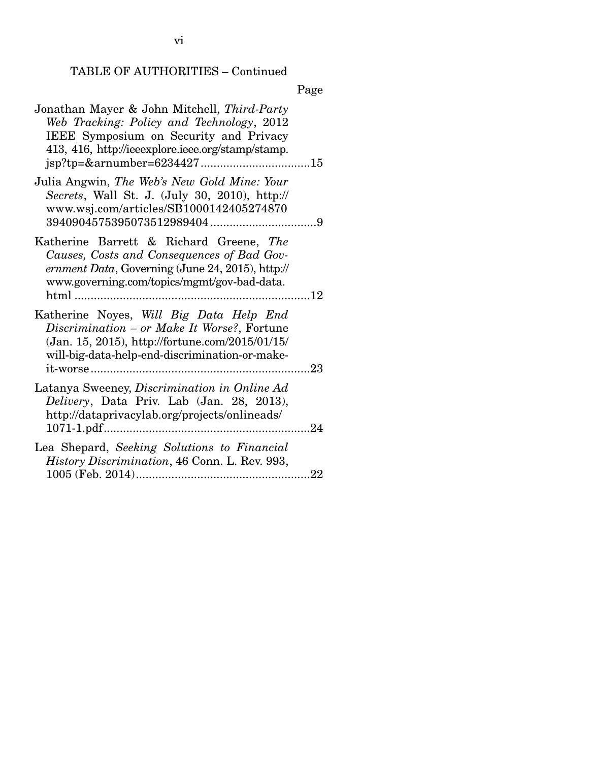vi

# TABLE OF AUTHORITIES – Continued

| Jonathan Mayer & John Mitchell, Third-Party<br>Web Tracking: Policy and Technology, 2012<br>IEEE Symposium on Security and Privacy<br>413, 416, http://ieeexplore.ieee.org/stamp/stamp.     |
|---------------------------------------------------------------------------------------------------------------------------------------------------------------------------------------------|
| Julia Angwin, The Web's New Gold Mine: Your<br>Secrets, Wall St. J. (July 30, 2010), http://<br>www.wsj.com/articles/SB1000142405274870                                                     |
| Katherine Barrett & Richard Greene, The<br>Causes, Costs and Consequences of Bad Gov-<br>ernment Data, Governing (June 24, 2015), http://<br>www.governing.com/topics/mgmt/gov-bad-data.    |
| Katherine Noyes, Will Big Data Help End<br>Discrimination - or Make It Worse?, Fortune<br>(Jan. 15, 2015), http://fortune.com/2015/01/15/<br>will-big-data-help-end-discrimination-or-make- |
| Latanya Sweeney, Discrimination in Online Ad<br>Delivery, Data Priv. Lab (Jan. 28, 2013),<br>http://dataprivacylab.org/projects/onlineads/<br>1071-1.pdf                                    |
| Lea Shepard, Seeking Solutions to Financial<br>History Discrimination, 46 Conn. L. Rev. 993,                                                                                                |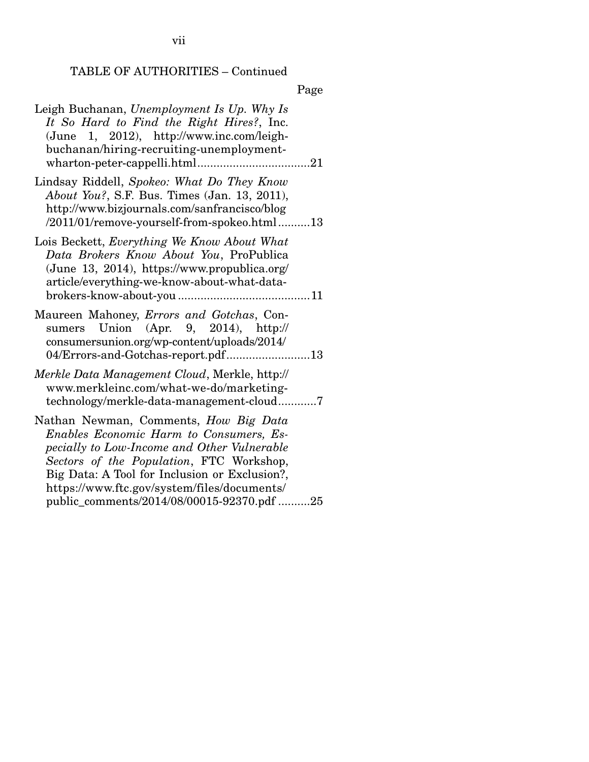vii

## TABLE OF AUTHORITIES – Continued

|      | Page |
|------|------|
| ---- |      |

| Leigh Buchanan, Unemployment Is Up. Why Is<br>It So Hard to Find the Right Hires?, Inc.<br>(June 1, 2012), http://www.inc.com/leigh-<br>buchanan/hiring-recruiting-unemployment-                                                                                                                                          |
|---------------------------------------------------------------------------------------------------------------------------------------------------------------------------------------------------------------------------------------------------------------------------------------------------------------------------|
| Lindsay Riddell, Spokeo: What Do They Know<br>About You?, S.F. Bus. Times (Jan. 13, 2011),<br>http://www.bizjournals.com/sanfrancisco/blog<br>/2011/01/remove-yourself-from-spokeo.html13                                                                                                                                 |
| Lois Beckett, Everything We Know About What<br>Data Brokers Know About You, ProPublica<br>(June 13, 2014), https://www.propublica.org/<br>article/everything-we-know-about-what-data-                                                                                                                                     |
| Maureen Mahoney, <i>Errors and Gotchas</i> , Con-<br>sumers Union (Apr. 9, 2014), $http://$<br>consumersunion.org/wp-content/uploads/2014/<br>04/Errors-and-Gotchas-report.pdf13                                                                                                                                          |
| Merkle Data Management Cloud, Merkle, http://<br>www.merkleinc.com/what-we-do/marketing-<br>technology/merkle-data-management-cloud7                                                                                                                                                                                      |
| Nathan Newman, Comments, How Big Data<br>Enables Economic Harm to Consumers, Es-<br>pecially to Low-Income and Other Vulnerable<br>Sectors of the Population, FTC Workshop,<br>Big Data: A Tool for Inclusion or Exclusion?,<br>https://www.ftc.gov/system/files/documents/<br>public_comments/2014/08/00015-92370.pdf 25 |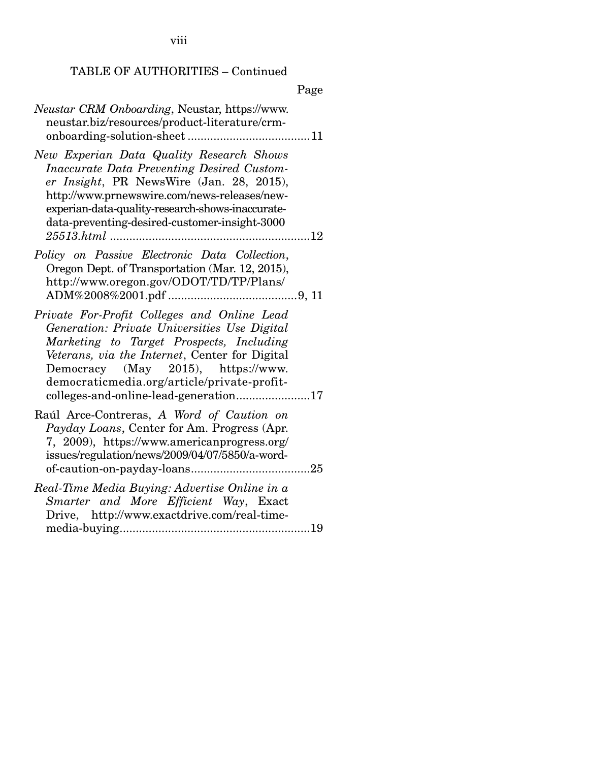viii

# TABLE OF AUTHORITIES – Continued

|                                                                                                                                                                                                                                                                                                                         | Page |
|-------------------------------------------------------------------------------------------------------------------------------------------------------------------------------------------------------------------------------------------------------------------------------------------------------------------------|------|
| <i>Neustar CRM Onboarding</i> , Neustar, https://www.<br>neustar.biz/resources/product-literature/crm-                                                                                                                                                                                                                  |      |
| New Experian Data Quality Research Shows<br>Inaccurate Data Preventing Desired Custom-<br>er Insight, PR NewsWire (Jan. 28, 2015),<br>http://www.prnewswire.com/news-releases/new-<br>experian-data-quality-research-shows-inaccurate-<br>data-preventing-desired-customer-insight-3000                                 |      |
| Policy on Passive Electronic Data Collection,<br>Oregon Dept. of Transportation (Mar. 12, 2015),<br>http://www.oregon.gov/ODOT/TD/TP/Plans/                                                                                                                                                                             |      |
| Private For-Profit Colleges and Online Lead<br>Generation: Private Universities Use Digital<br>Marketing to Target Prospects, Including<br>Veterans, via the Internet, Center for Digital<br>Democracy (May 2015), https://www.<br>democraticmedia.org/article/private-profit-<br>colleges-and-online-lead-generation17 |      |
| Raúl Arce-Contreras, A Word of Caution on<br><i>Payday Loans, Center for Am. Progress (Apr.</i><br>7, 2009), https://www.americanprogress.org/<br>issues/regulation/news/2009/04/07/5850/a-word-                                                                                                                        |      |
| Real-Time Media Buying: Advertise Online in a<br>Smarter and More Efficient Way, Exact<br>Drive, http://www.exactdrive.com/real-time-                                                                                                                                                                                   |      |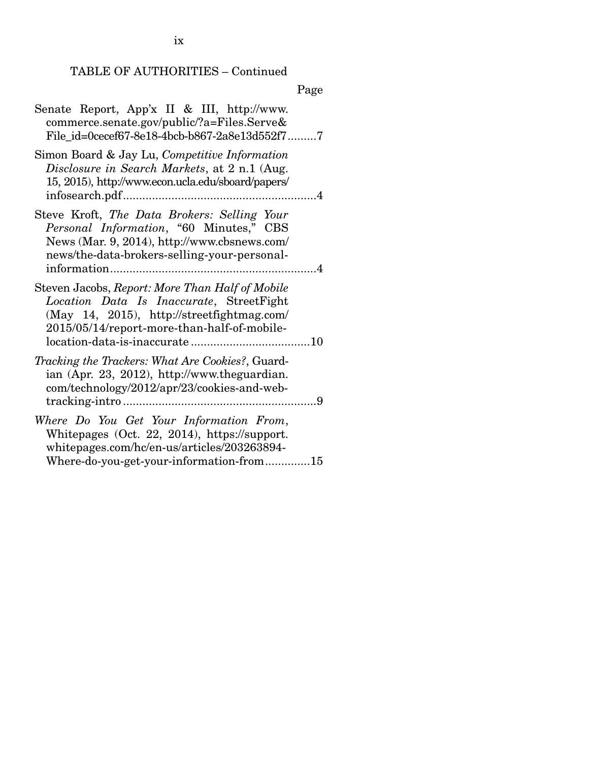ix

## TABLE OF AUTHORITIES – Continued

| Senate Report, App'x II & III, http://www.<br>commerce.senate.gov/public/?a=Files.Serve&<br>File id=0cecef67-8e18-4bcb-b867-2a8e13d552f77                                                |
|------------------------------------------------------------------------------------------------------------------------------------------------------------------------------------------|
| Simon Board & Jay Lu, Competitive Information<br>Disclosure in Search Markets, at 2 n.1 (Aug.<br>15, 2015), http://www.econ.ucla.edu/sboard/papers/                                      |
| Steve Kroft, The Data Brokers: Selling Your<br>Personal Information, "60 Minutes," CBS<br>News (Mar. 9, 2014), http://www.cbsnews.com/<br>news/the-data-brokers-selling-your-personal-   |
| Steven Jacobs, Report: More Than Half of Mobile<br>Location Data Is Inaccurate, StreetFight<br>(May 14, 2015), http://streetfightmag.com/<br>2015/05/14/report-more-than-half-of-mobile- |
| Tracking the Trackers: What Are Cookies?, Guard-<br>ian (Apr. 23, 2012), http://www.theguardian.<br>com/technology/2012/apr/23/cookies-and-web-                                          |
| Where Do You Get Your Information From,<br>Whitepages (Oct. 22, 2014), https://support.<br>whitepages.com/hc/en-us/articles/203263894-<br>Where-do-you-get-your-information-from15       |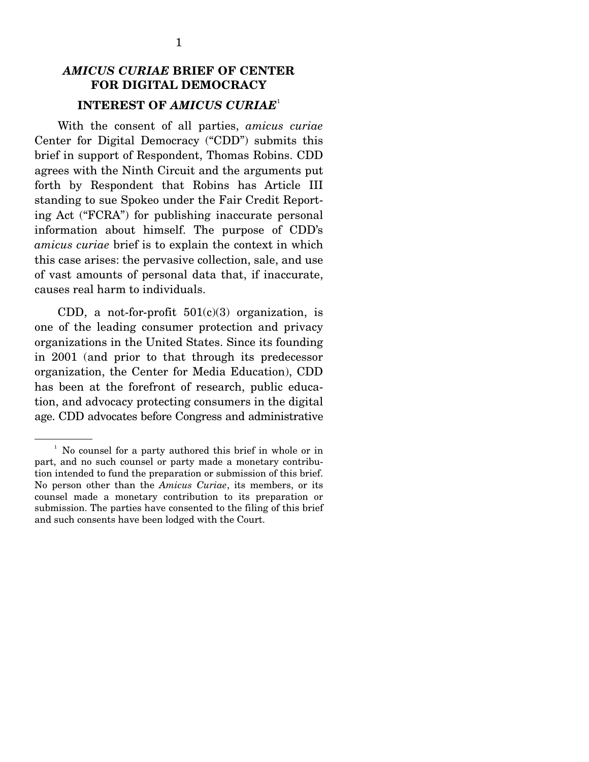## *AMICUS CURIAE* **BRIEF OF CENTER FOR DIGITAL DEMOCRACY INTEREST OF** *AMICUS CURIAE*<sup>1</sup>

 With the consent of all parties, *amicus curiae* Center for Digital Democracy ("CDD") submits this brief in support of Respondent, Thomas Robins. CDD agrees with the Ninth Circuit and the arguments put forth by Respondent that Robins has Article III standing to sue Spokeo under the Fair Credit Reporting Act ("FCRA") for publishing inaccurate personal information about himself. The purpose of CDD's *amicus curiae* brief is to explain the context in which this case arises: the pervasive collection, sale, and use of vast amounts of personal data that, if inaccurate, causes real harm to individuals.

CDD, a not-for-profit  $501(c)(3)$  organization, is one of the leading consumer protection and privacy organizations in the United States. Since its founding in 2001 (and prior to that through its predecessor organization, the Center for Media Education), CDD has been at the forefront of research, public education, and advocacy protecting consumers in the digital age. CDD advocates before Congress and administrative

<sup>&</sup>lt;sup>1</sup> No counsel for a party authored this brief in whole or in part, and no such counsel or party made a monetary contribution intended to fund the preparation or submission of this brief. No person other than the *Amicus Curiae*, its members, or its counsel made a monetary contribution to its preparation or submission. The parties have consented to the filing of this brief and such consents have been lodged with the Court.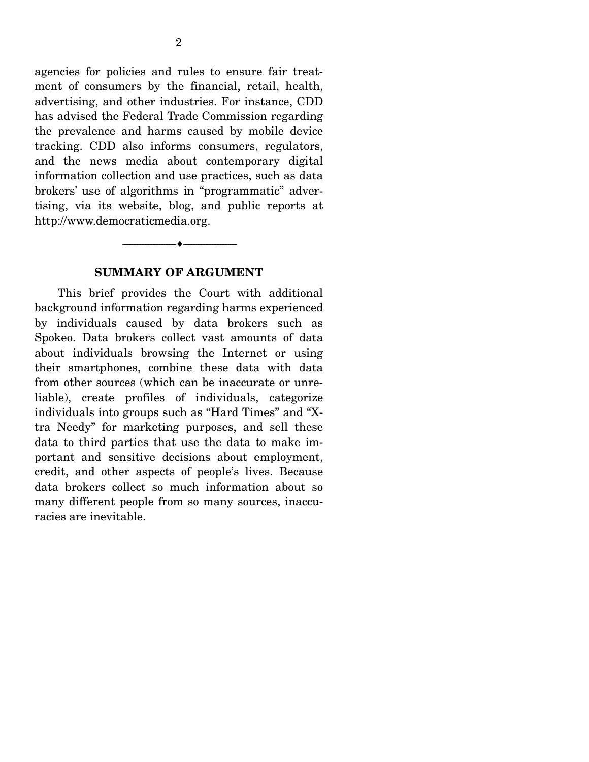agencies for policies and rules to ensure fair treatment of consumers by the financial, retail, health, advertising, and other industries. For instance, CDD has advised the Federal Trade Commission regarding the prevalence and harms caused by mobile device tracking. CDD also informs consumers, regulators, and the news media about contemporary digital information collection and use practices, such as data brokers' use of algorithms in "programmatic" advertising, via its website, blog, and public reports at http://www.democraticmedia.org.

#### **SUMMARY OF ARGUMENT**

--------------------------------- ---------------------------------

 This brief provides the Court with additional background information regarding harms experienced by individuals caused by data brokers such as Spokeo. Data brokers collect vast amounts of data about individuals browsing the Internet or using their smartphones, combine these data with data from other sources (which can be inaccurate or unreliable), create profiles of individuals, categorize individuals into groups such as "Hard Times" and "Xtra Needy" for marketing purposes, and sell these data to third parties that use the data to make important and sensitive decisions about employment, credit, and other aspects of people's lives. Because data brokers collect so much information about so many different people from so many sources, inaccuracies are inevitable.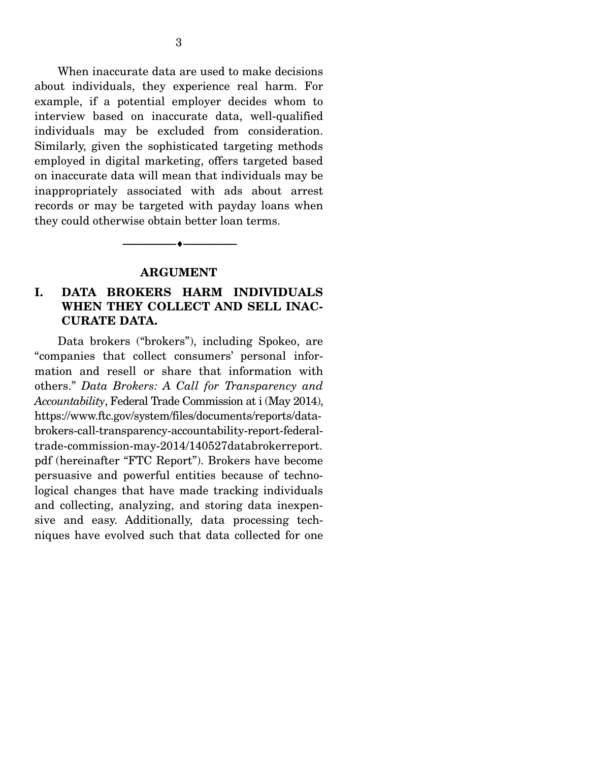When inaccurate data are used to make decisions about individuals, they experience real harm. For example, if a potential employer decides whom to interview based on inaccurate data, well-qualified individuals may be excluded from consideration. Similarly, given the sophisticated targeting methods employed in digital marketing, offers targeted based on inaccurate data will mean that individuals may be inappropriately associated with ads about arrest records or may be targeted with payday loans when they could otherwise obtain better loan terms.

#### **ARGUMENT**

--------------------------------- ---------------------------------

### **I. DATA BROKERS HARM INDIVIDUALS WHEN THEY COLLECT AND SELL INAC-CURATE DATA.**

 Data brokers ("brokers"), including Spokeo, are "companies that collect consumers' personal information and resell or share that information with others." *Data Brokers: A Call for Transparency and Accountability*, Federal Trade Commission at i (May 2014), https://www.ftc.gov/system/files/documents/reports/databrokers-call-transparency-accountability-report-federaltrade-commission-may-2014/140527databrokerreport. pdf (hereinafter "FTC Report"). Brokers have become persuasive and powerful entities because of technological changes that have made tracking individuals and collecting, analyzing, and storing data inexpensive and easy. Additionally, data processing techniques have evolved such that data collected for one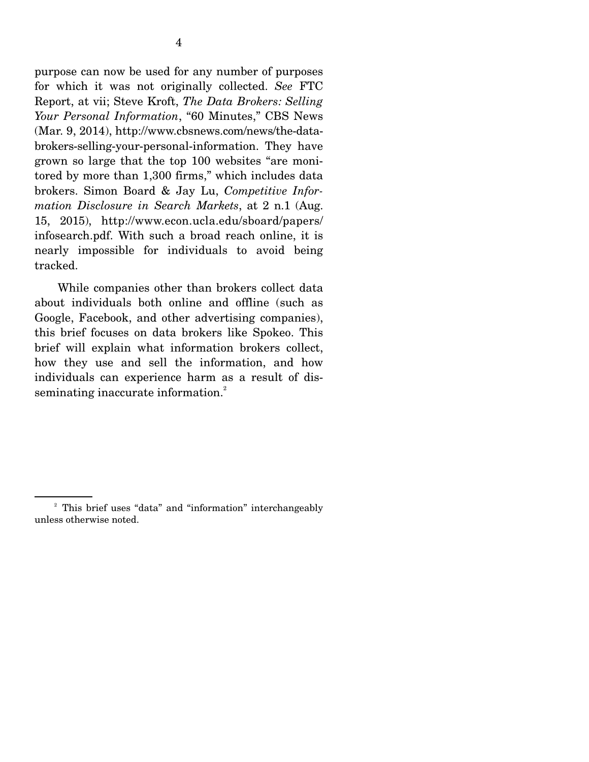purpose can now be used for any number of purposes for which it was not originally collected. *See* FTC Report, at vii; Steve Kroft, *The Data Brokers: Selling Your Personal Information*, "60 Minutes," CBS News (Mar. 9, 2014), http://www.cbsnews.com/news/the-databrokers-selling-your-personal-information. They have grown so large that the top 100 websites "are monitored by more than 1,300 firms," which includes data brokers. Simon Board & Jay Lu, *Competitive Information Disclosure in Search Markets*, at 2 n.1 (Aug. 15, 2015), http://www.econ.ucla.edu/sboard/papers/ infosearch.pdf. With such a broad reach online, it is nearly impossible for individuals to avoid being tracked.

 While companies other than brokers collect data about individuals both online and offline (such as Google, Facebook, and other advertising companies), this brief focuses on data brokers like Spokeo. This brief will explain what information brokers collect, how they use and sell the information, and how individuals can experience harm as a result of disseminating inaccurate information.<sup>2</sup>

<sup>&</sup>lt;sup>2</sup> This brief uses "data" and "information" interchangeably unless otherwise noted.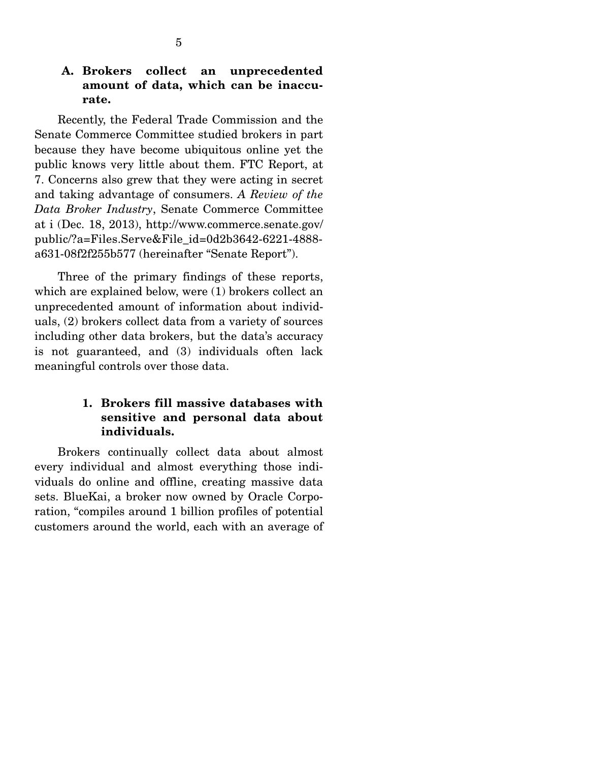### **A. Brokers collect an unprecedented amount of data, which can be inaccurate.**

 Recently, the Federal Trade Commission and the Senate Commerce Committee studied brokers in part because they have become ubiquitous online yet the public knows very little about them. FTC Report, at 7. Concerns also grew that they were acting in secret and taking advantage of consumers. *A Review of the Data Broker Industry*, Senate Commerce Committee at i (Dec. 18, 2013), http://www.commerce.senate.gov/ public/?a=Files.Serve&File\_id=0d2b3642-6221-4888 a631-08f2f255b577 (hereinafter "Senate Report").

 Three of the primary findings of these reports, which are explained below, were (1) brokers collect an unprecedented amount of information about individuals, (2) brokers collect data from a variety of sources including other data brokers, but the data's accuracy is not guaranteed, and (3) individuals often lack meaningful controls over those data.

## **1. Brokers fill massive databases with sensitive and personal data about individuals.**

 Brokers continually collect data about almost every individual and almost everything those individuals do online and offline, creating massive data sets. BlueKai, a broker now owned by Oracle Corporation, "compiles around 1 billion profiles of potential customers around the world, each with an average of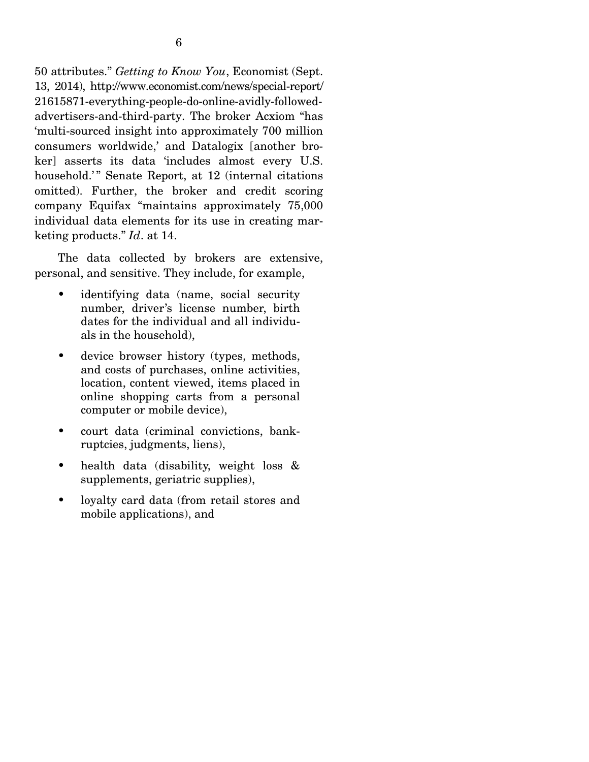50 attributes." *Getting to Know You*, Economist (Sept. 13, 2014), http://www.economist.com/news/special-report/ 21615871-everything-people-do-online-avidly-followedadvertisers-and-third-party. The broker Acxiom "has 'multi-sourced insight into approximately 700 million consumers worldwide,' and Datalogix [another broker] asserts its data 'includes almost every U.S. household.'" Senate Report, at 12 (internal citations omitted). Further, the broker and credit scoring company Equifax "maintains approximately 75,000 individual data elements for its use in creating marketing products." *Id*. at 14.

 The data collected by brokers are extensive, personal, and sensitive. They include, for example,

- identifying data (name, social security number, driver's license number, birth dates for the individual and all individuals in the household),
- device browser history (types, methods, and costs of purchases, online activities, location, content viewed, items placed in online shopping carts from a personal computer or mobile device),
- court data (criminal convictions, bankruptcies, judgments, liens),
- health data (disability, weight loss & supplements, geriatric supplies),
- loyalty card data (from retail stores and mobile applications), and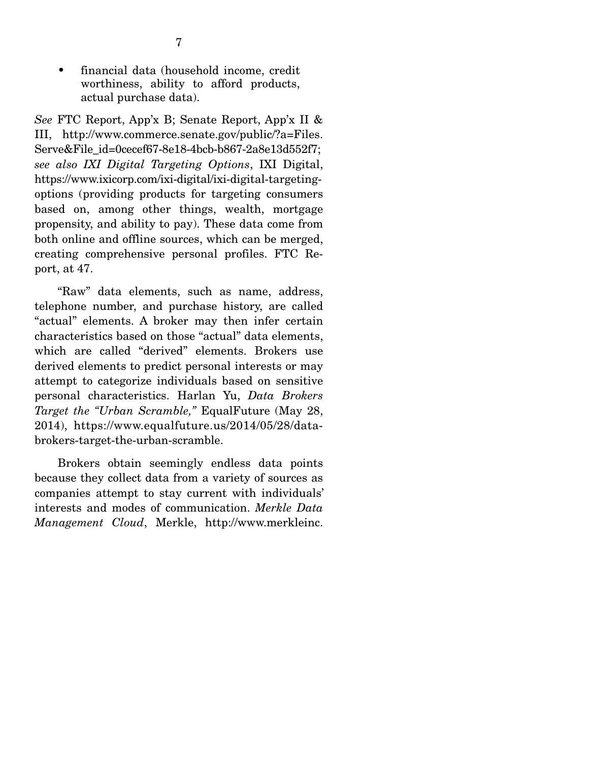• financial data (household income, credit worthiness, ability to afford products, actual purchase data).

*See* FTC Report, App'x B; Senate Report, App'x II & III, http://www.commerce.senate.gov/public/?a=Files. Serve&File\_id=0cecef67-8e18-4bcb-b867-2a8e13d552f7; *see also IXI Digital Targeting Options*, IXI Digital, https://www.ixicorp.com/ixi-digital/ixi-digital-targetingoptions (providing products for targeting consumers based on, among other things, wealth, mortgage propensity, and ability to pay). These data come from both online and offline sources, which can be merged, creating comprehensive personal profiles. FTC Report, at 47.

 "Raw" data elements, such as name, address, telephone number, and purchase history, are called "actual" elements. A broker may then infer certain characteristics based on those "actual" data elements, which are called "derived" elements. Brokers use derived elements to predict personal interests or may attempt to categorize individuals based on sensitive personal characteristics. Harlan Yu, *Data Brokers Target the "Urban Scramble,"* EqualFuture (May 28, 2014), https://www.equalfuture.us/2014/05/28/databrokers-target-the-urban-scramble.

 Brokers obtain seemingly endless data points because they collect data from a variety of sources as companies attempt to stay current with individuals' interests and modes of communication. *Merkle Data Management Cloud*, Merkle, http://www.merkleinc.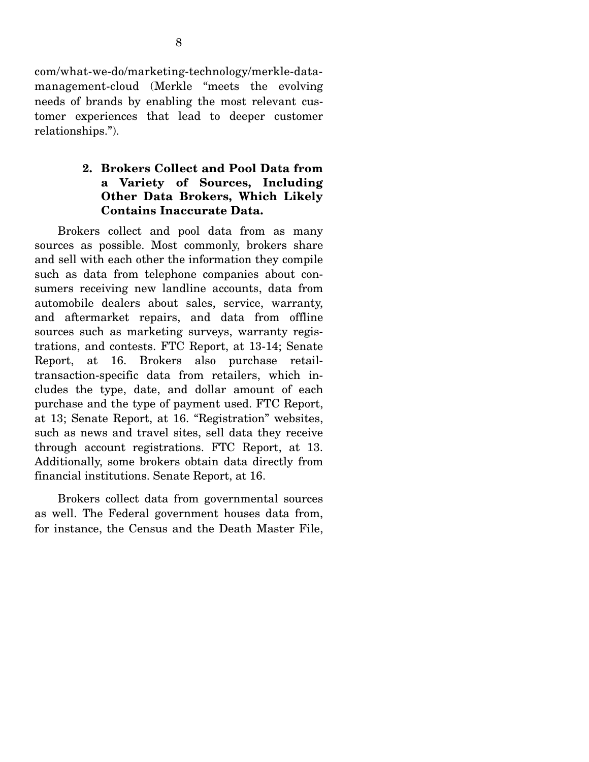com/what-we-do/marketing-technology/merkle-datamanagement-cloud (Merkle "meets the evolving needs of brands by enabling the most relevant customer experiences that lead to deeper customer relationships.").

## **2. Brokers Collect and Pool Data from a Variety of Sources, Including Other Data Brokers, Which Likely Contains Inaccurate Data.**

 Brokers collect and pool data from as many sources as possible. Most commonly, brokers share and sell with each other the information they compile such as data from telephone companies about consumers receiving new landline accounts, data from automobile dealers about sales, service, warranty, and aftermarket repairs, and data from offline sources such as marketing surveys, warranty registrations, and contests. FTC Report, at 13-14; Senate Report, at 16. Brokers also purchase retailtransaction-specific data from retailers, which includes the type, date, and dollar amount of each purchase and the type of payment used. FTC Report, at 13; Senate Report, at 16. "Registration" websites, such as news and travel sites, sell data they receive through account registrations. FTC Report, at 13. Additionally, some brokers obtain data directly from financial institutions. Senate Report, at 16.

 Brokers collect data from governmental sources as well. The Federal government houses data from, for instance, the Census and the Death Master File,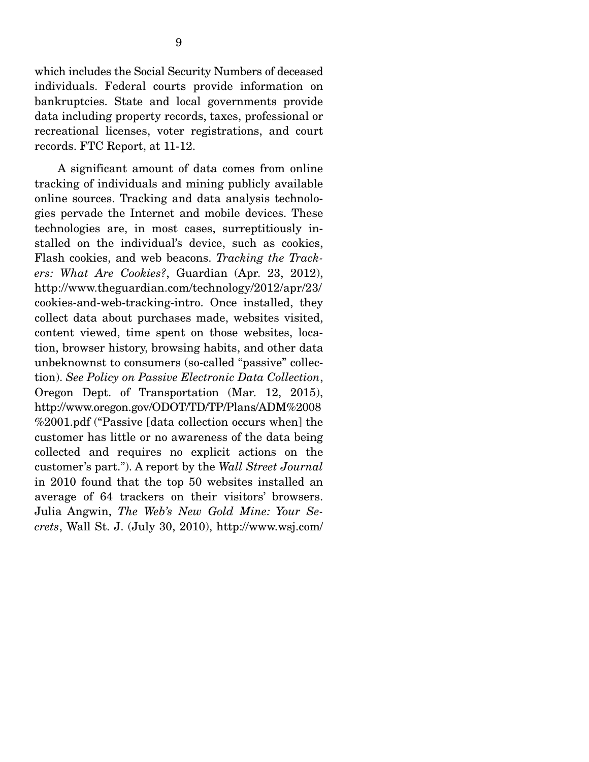which includes the Social Security Numbers of deceased individuals. Federal courts provide information on bankruptcies. State and local governments provide data including property records, taxes, professional or recreational licenses, voter registrations, and court records. FTC Report, at 11-12.

 A significant amount of data comes from online tracking of individuals and mining publicly available online sources. Tracking and data analysis technologies pervade the Internet and mobile devices. These technologies are, in most cases, surreptitiously installed on the individual's device, such as cookies, Flash cookies, and web beacons. *Tracking the Trackers: What Are Cookies?*, Guardian (Apr. 23, 2012), http://www.theguardian.com/technology/2012/apr/23/ cookies-and-web-tracking-intro. Once installed, they collect data about purchases made, websites visited, content viewed, time spent on those websites, location, browser history, browsing habits, and other data unbeknownst to consumers (so-called "passive" collection). *See Policy on Passive Electronic Data Collection*, Oregon Dept. of Transportation (Mar. 12, 2015), http://www.oregon.gov/ODOT/TD/TP/Plans/ADM%2008 %2001.pdf ("Passive [data collection occurs when] the customer has little or no awareness of the data being collected and requires no explicit actions on the customer's part."). A report by the *Wall Street Journal* in 2010 found that the top 50 websites installed an average of 64 trackers on their visitors' browsers. Julia Angwin, *The Web's New Gold Mine: Your Secrets*, Wall St. J. (July 30, 2010), http://www.wsj.com/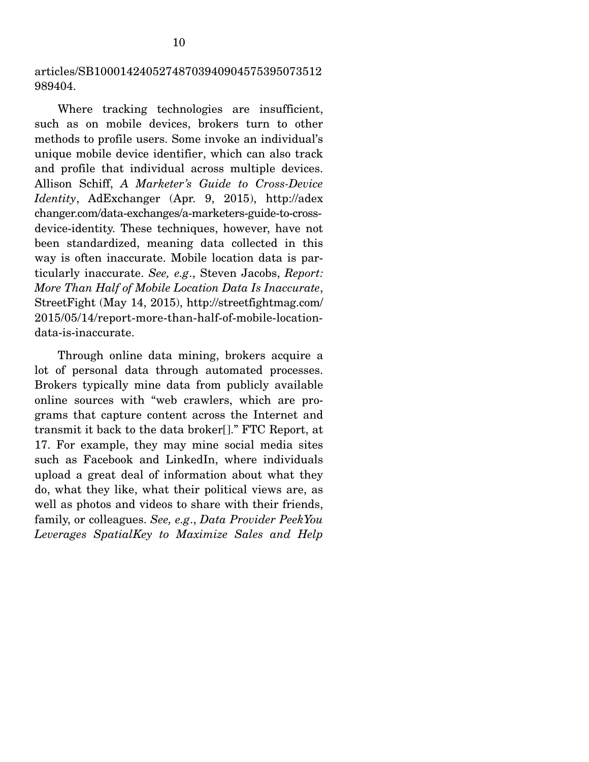articles/SB10001424052748703940904575395073512 989404.

 Where tracking technologies are insufficient, such as on mobile devices, brokers turn to other methods to profile users. Some invoke an individual's unique mobile device identifier, which can also track and profile that individual across multiple devices. Allison Schiff, *A Marketer's Guide to Cross-Device Identity*, AdExchanger (Apr. 9, 2015), http://adex changer.com/data-exchanges/a-marketers-guide-to-crossdevice-identity. These techniques, however, have not been standardized, meaning data collected in this way is often inaccurate. Mobile location data is particularly inaccurate. *See, e.g*., Steven Jacobs, *Report: More Than Half of Mobile Location Data Is Inaccurate*, StreetFight (May 14, 2015), http://streetfightmag.com/ 2015/05/14/report-more-than-half-of-mobile-locationdata-is-inaccurate.

 Through online data mining, brokers acquire a lot of personal data through automated processes. Brokers typically mine data from publicly available online sources with "web crawlers, which are programs that capture content across the Internet and transmit it back to the data broker[]." FTC Report, at 17. For example, they may mine social media sites such as Facebook and LinkedIn, where individuals upload a great deal of information about what they do, what they like, what their political views are, as well as photos and videos to share with their friends, family, or colleagues. *See, e.g*., *Data Provider PeekYou Leverages SpatialKey to Maximize Sales and Help*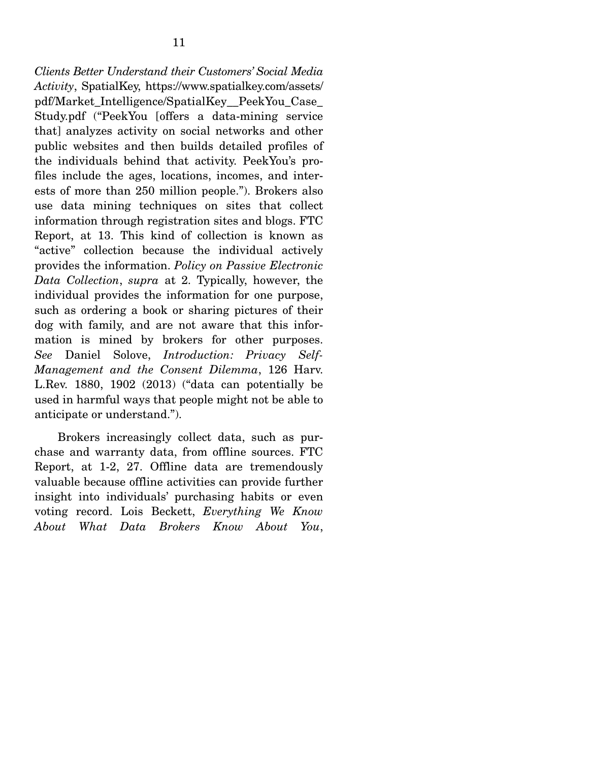*Clients Better Understand their Customers' Social Media Activity*, SpatialKey, https://www.spatialkey.com/assets/ pdf/Market\_Intelligence/SpatialKey\_\_PeekYou\_Case\_ Study.pdf ("PeekYou [offers a data-mining service that] analyzes activity on social networks and other public websites and then builds detailed profiles of the individuals behind that activity. PeekYou's profiles include the ages, locations, incomes, and interests of more than 250 million people."). Brokers also use data mining techniques on sites that collect information through registration sites and blogs. FTC Report, at 13. This kind of collection is known as "active" collection because the individual actively provides the information. *Policy on Passive Electronic Data Collection*, *supra* at 2. Typically, however, the individual provides the information for one purpose, such as ordering a book or sharing pictures of their dog with family, and are not aware that this information is mined by brokers for other purposes. *See* Daniel Solove, *Introduction: Privacy Self-Management and the Consent Dilemma*, 126 Harv. L.Rev. 1880, 1902 (2013) ("data can potentially be used in harmful ways that people might not be able to anticipate or understand.").

 Brokers increasingly collect data, such as purchase and warranty data, from offline sources. FTC Report, at 1-2, 27. Offline data are tremendously valuable because offline activities can provide further insight into individuals' purchasing habits or even voting record. Lois Beckett, *Everything We Know About What Data Brokers Know About You*,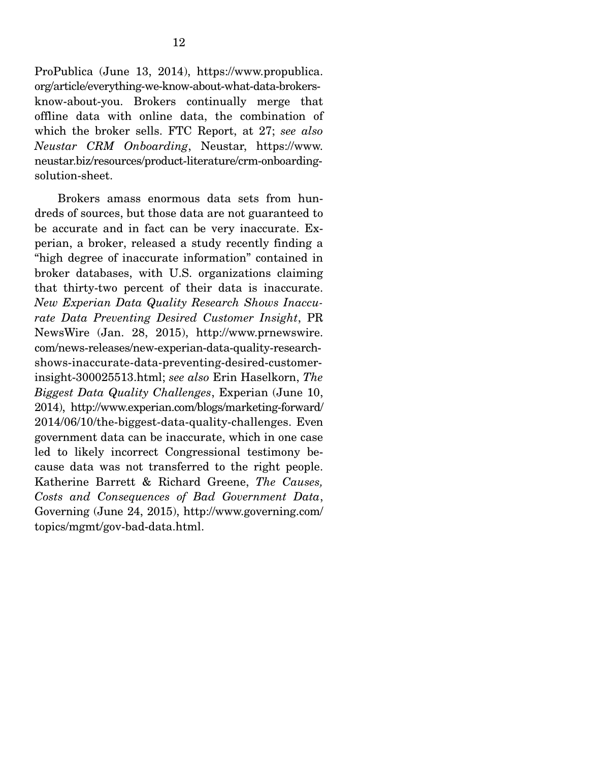ProPublica (June 13, 2014), https://www.propublica. org/article/everything-we-know-about-what-data-brokersknow-about-you. Brokers continually merge that offline data with online data, the combination of which the broker sells. FTC Report, at 27; *see also Neustar CRM Onboarding*, Neustar, https://www. neustar.biz/resources/product-literature/crm-onboardingsolution-sheet.

 Brokers amass enormous data sets from hundreds of sources, but those data are not guaranteed to be accurate and in fact can be very inaccurate. Experian, a broker, released a study recently finding a "high degree of inaccurate information" contained in broker databases, with U.S. organizations claiming that thirty-two percent of their data is inaccurate. *New Experian Data Quality Research Shows Inaccurate Data Preventing Desired Customer Insight*, PR NewsWire (Jan. 28, 2015), http://www.prnewswire. com/news-releases/new-experian-data-quality-researchshows-inaccurate-data-preventing-desired-customerinsight-300025513.html; *see also* Erin Haselkorn, *The Biggest Data Quality Challenges*, Experian (June 10, 2014), http://www.experian.com/blogs/marketing-forward/ 2014/06/10/the-biggest-data-quality-challenges. Even government data can be inaccurate, which in one case led to likely incorrect Congressional testimony because data was not transferred to the right people. Katherine Barrett & Richard Greene, *The Causes, Costs and Consequences of Bad Government Data*, Governing (June 24, 2015), http://www.governing.com/ topics/mgmt/gov-bad-data.html.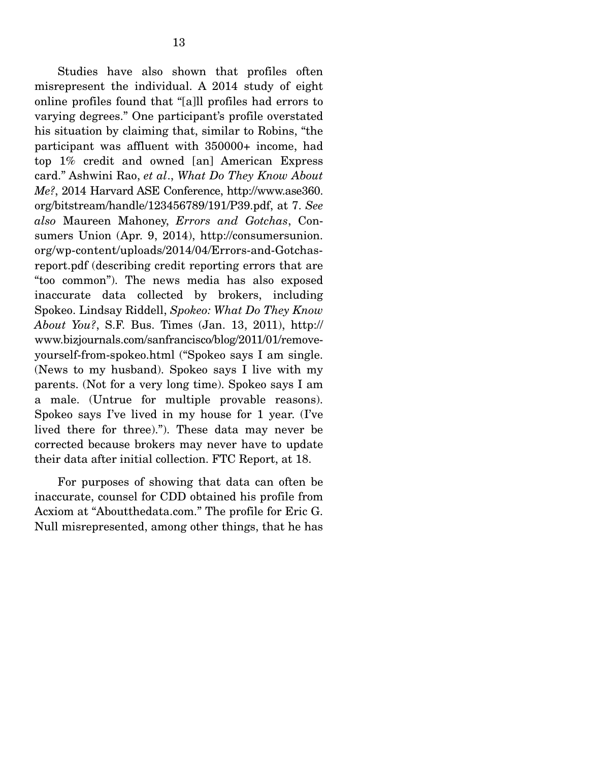Studies have also shown that profiles often misrepresent the individual. A 2014 study of eight online profiles found that "[a]ll profiles had errors to varying degrees." One participant's profile overstated his situation by claiming that, similar to Robins, "the participant was affluent with 350000+ income, had top 1% credit and owned [an] American Express card." Ashwini Rao, *et al*., *What Do They Know About Me?*, 2014 Harvard ASE Conference, http://www.ase360. org/bitstream/handle/123456789/191/P39.pdf, at 7. *See also* Maureen Mahoney, *Errors and Gotchas*, Consumers Union (Apr. 9, 2014), http://consumersunion. org/wp-content/uploads/2014/04/Errors-and-Gotchasreport.pdf (describing credit reporting errors that are "too common"). The news media has also exposed inaccurate data collected by brokers, including Spokeo. Lindsay Riddell, *Spokeo: What Do They Know About You?*, S.F. Bus. Times (Jan. 13, 2011), http:// www.bizjournals.com/sanfrancisco/blog/2011/01/removeyourself-from-spokeo.html ("Spokeo says I am single. (News to my husband). Spokeo says I live with my parents. (Not for a very long time). Spokeo says I am a male. (Untrue for multiple provable reasons). Spokeo says I've lived in my house for 1 year. (I've lived there for three)."). These data may never be corrected because brokers may never have to update their data after initial collection. FTC Report, at 18.

 For purposes of showing that data can often be inaccurate, counsel for CDD obtained his profile from Acxiom at "Aboutthedata.com." The profile for Eric G. Null misrepresented, among other things, that he has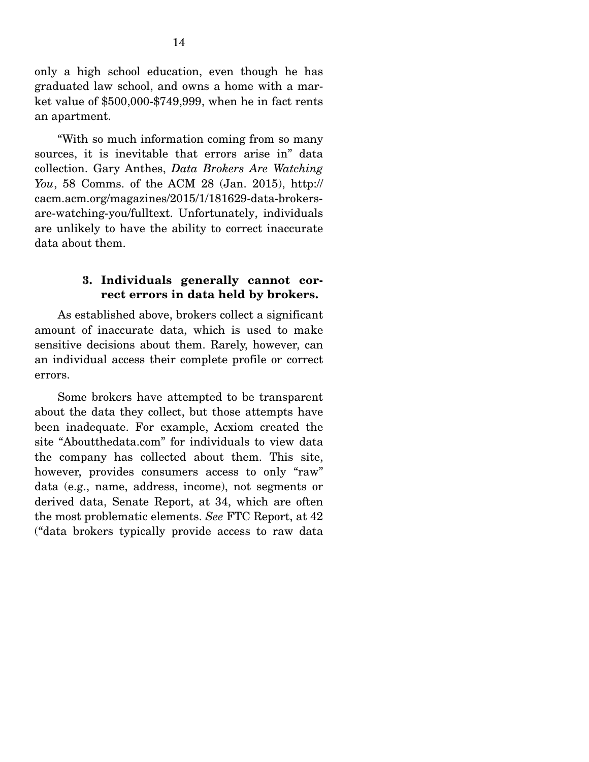only a high school education, even though he has graduated law school, and owns a home with a market value of \$500,000-\$749,999, when he in fact rents an apartment.

 "With so much information coming from so many sources, it is inevitable that errors arise in" data collection. Gary Anthes, *Data Brokers Are Watching You*, 58 Comms. of the ACM 28 (Jan. 2015), http:// cacm.acm.org/magazines/2015/1/181629-data-brokersare-watching-you/fulltext. Unfortunately, individuals are unlikely to have the ability to correct inaccurate data about them.

### **3. Individuals generally cannot correct errors in data held by brokers.**

 As established above, brokers collect a significant amount of inaccurate data, which is used to make sensitive decisions about them. Rarely, however, can an individual access their complete profile or correct errors.

 Some brokers have attempted to be transparent about the data they collect, but those attempts have been inadequate. For example, Acxiom created the site "Aboutthedata.com" for individuals to view data the company has collected about them. This site, however, provides consumers access to only "raw" data (e.g., name, address, income), not segments or derived data, Senate Report, at 34, which are often the most problematic elements. *See* FTC Report, at 42 ("data brokers typically provide access to raw data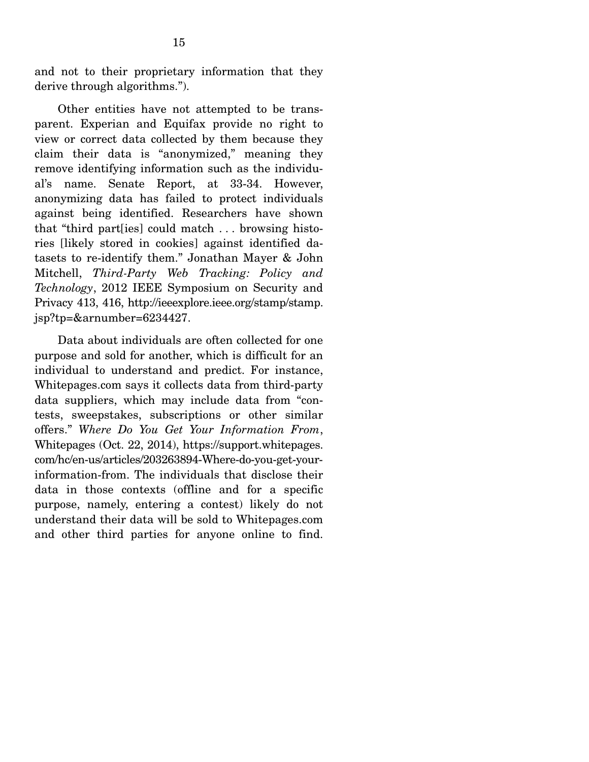and not to their proprietary information that they derive through algorithms.").

 Other entities have not attempted to be transparent. Experian and Equifax provide no right to view or correct data collected by them because they claim their data is "anonymized," meaning they remove identifying information such as the individual's name. Senate Report, at 33-34. However, anonymizing data has failed to protect individuals against being identified. Researchers have shown that "third part[ies] could match . . . browsing histories [likely stored in cookies] against identified datasets to re-identify them." Jonathan Mayer & John Mitchell, *Third-Party Web Tracking: Policy and Technology*, 2012 IEEE Symposium on Security and Privacy 413, 416, http://ieeexplore.ieee.org/stamp/stamp. jsp?tp=&arnumber=6234427.

 Data about individuals are often collected for one purpose and sold for another, which is difficult for an individual to understand and predict. For instance, Whitepages.com says it collects data from third-party data suppliers, which may include data from "contests, sweepstakes, subscriptions or other similar offers." *Where Do You Get Your Information From*, Whitepages (Oct. 22, 2014), https://support.whitepages. com/hc/en-us/articles/203263894-Where-do-you-get-yourinformation-from. The individuals that disclose their data in those contexts (offline and for a specific purpose, namely, entering a contest) likely do not understand their data will be sold to Whitepages.com and other third parties for anyone online to find.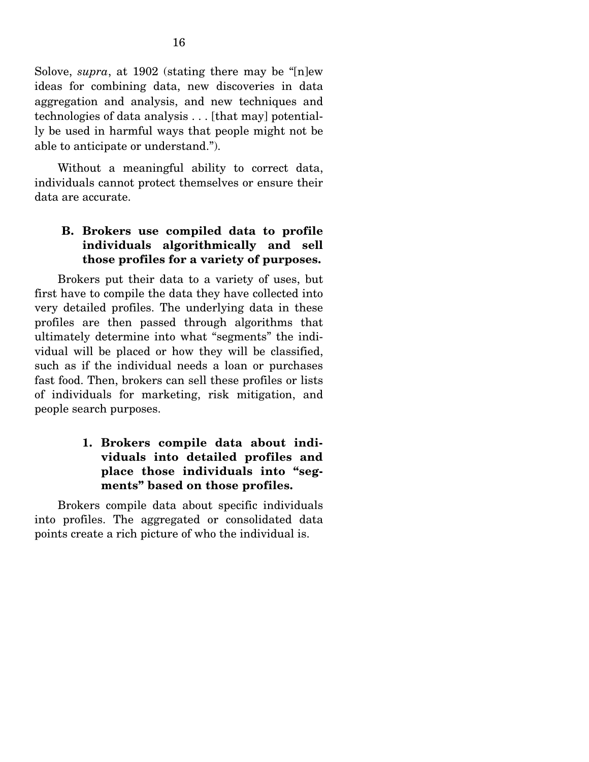Solove, *supra*, at 1902 (stating there may be "[n]ew ideas for combining data, new discoveries in data aggregation and analysis, and new techniques and technologies of data analysis . . . [that may] potentially be used in harmful ways that people might not be able to anticipate or understand.").

 Without a meaningful ability to correct data, individuals cannot protect themselves or ensure their data are accurate.

## **B. Brokers use compiled data to profile individuals algorithmically and sell those profiles for a variety of purposes.**

 Brokers put their data to a variety of uses, but first have to compile the data they have collected into very detailed profiles. The underlying data in these profiles are then passed through algorithms that ultimately determine into what "segments" the individual will be placed or how they will be classified, such as if the individual needs a loan or purchases fast food. Then, brokers can sell these profiles or lists of individuals for marketing, risk mitigation, and people search purposes.

## **1. Brokers compile data about individuals into detailed profiles and place those individuals into "segments" based on those profiles.**

 Brokers compile data about specific individuals into profiles. The aggregated or consolidated data points create a rich picture of who the individual is.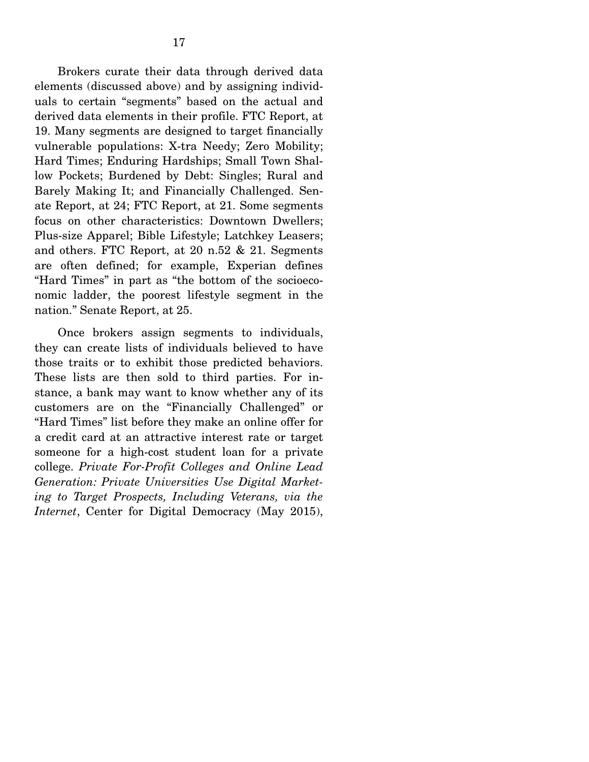Brokers curate their data through derived data elements (discussed above) and by assigning individuals to certain "segments" based on the actual and derived data elements in their profile. FTC Report, at 19. Many segments are designed to target financially vulnerable populations: X-tra Needy; Zero Mobility; Hard Times; Enduring Hardships; Small Town Shallow Pockets; Burdened by Debt: Singles; Rural and Barely Making It; and Financially Challenged. Senate Report, at 24; FTC Report, at 21. Some segments focus on other characteristics: Downtown Dwellers; Plus-size Apparel; Bible Lifestyle; Latchkey Leasers; and others. FTC Report, at 20 n.52 & 21. Segments are often defined; for example, Experian defines "Hard Times" in part as "the bottom of the socioeconomic ladder, the poorest lifestyle segment in the nation." Senate Report, at 25.

 Once brokers assign segments to individuals, they can create lists of individuals believed to have those traits or to exhibit those predicted behaviors. These lists are then sold to third parties. For instance, a bank may want to know whether any of its customers are on the "Financially Challenged" or "Hard Times" list before they make an online offer for a credit card at an attractive interest rate or target someone for a high-cost student loan for a private college. *Private For-Profit Colleges and Online Lead Generation: Private Universities Use Digital Marketing to Target Prospects, Including Veterans, via the Internet*, Center for Digital Democracy (May 2015),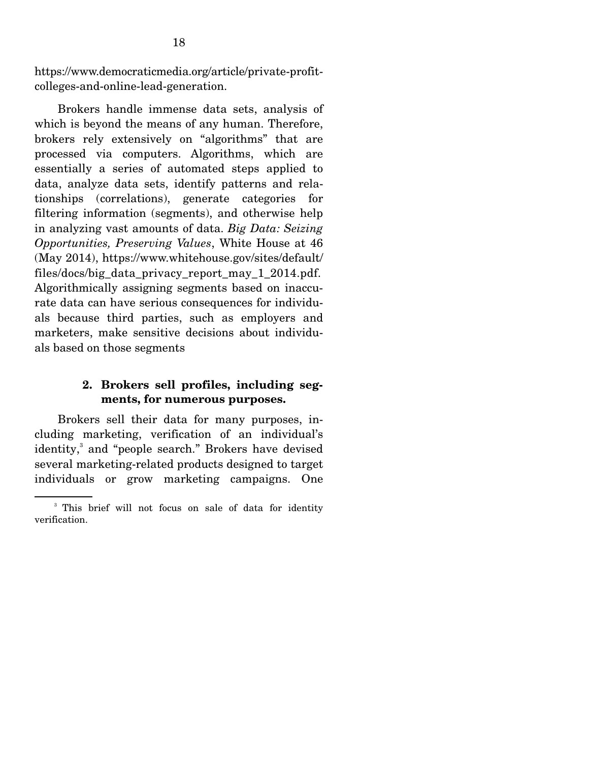https://www.democraticmedia.org/article/private-profitcolleges-and-online-lead-generation.

 Brokers handle immense data sets, analysis of which is beyond the means of any human. Therefore, brokers rely extensively on "algorithms" that are processed via computers. Algorithms, which are essentially a series of automated steps applied to data, analyze data sets, identify patterns and relationships (correlations), generate categories for filtering information (segments), and otherwise help in analyzing vast amounts of data. *Big Data: Seizing Opportunities, Preserving Values*, White House at 46 (May 2014), https://www.whitehouse.gov/sites/default/ files/docs/big\_data\_privacy\_report\_may\_1\_2014.pdf. Algorithmically assigning segments based on inaccurate data can have serious consequences for individuals because third parties, such as employers and marketers, make sensitive decisions about individuals based on those segments

### **2. Brokers sell profiles, including segments, for numerous purposes.**

 Brokers sell their data for many purposes, including marketing, verification of an individual's identity,<sup>3</sup> and "people search." Brokers have devised several marketing-related products designed to target individuals or grow marketing campaigns. One

<sup>&</sup>lt;sup>3</sup> This brief will not focus on sale of data for identity verification.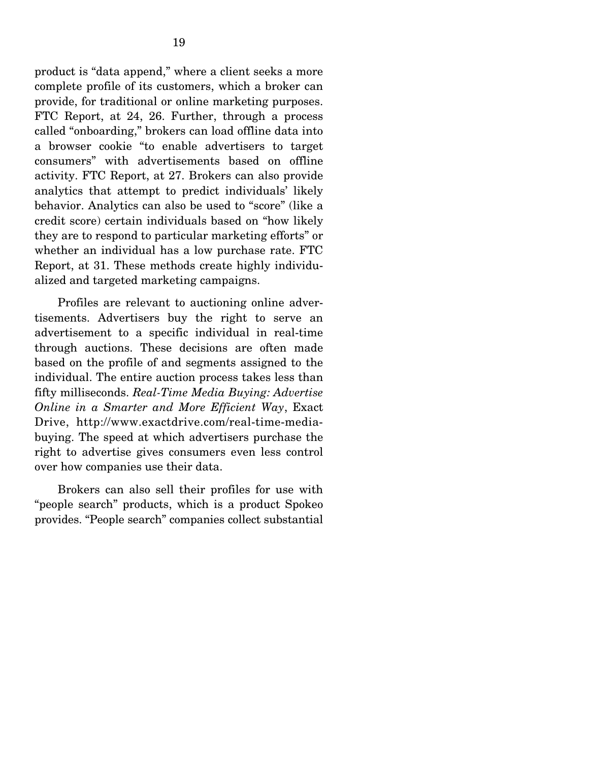product is "data append," where a client seeks a more complete profile of its customers, which a broker can provide, for traditional or online marketing purposes. FTC Report, at 24, 26. Further, through a process called "onboarding," brokers can load offline data into a browser cookie "to enable advertisers to target consumers" with advertisements based on offline activity. FTC Report, at 27. Brokers can also provide analytics that attempt to predict individuals' likely behavior. Analytics can also be used to "score" (like a credit score) certain individuals based on "how likely they are to respond to particular marketing efforts" or whether an individual has a low purchase rate. FTC Report, at 31. These methods create highly individualized and targeted marketing campaigns.

 Profiles are relevant to auctioning online advertisements. Advertisers buy the right to serve an advertisement to a specific individual in real-time through auctions. These decisions are often made based on the profile of and segments assigned to the individual. The entire auction process takes less than fifty milliseconds. *Real-Time Media Buying: Advertise Online in a Smarter and More Efficient Way*, Exact Drive, http://www.exactdrive.com/real-time-mediabuying. The speed at which advertisers purchase the right to advertise gives consumers even less control over how companies use their data.

 Brokers can also sell their profiles for use with "people search" products, which is a product Spokeo provides. "People search" companies collect substantial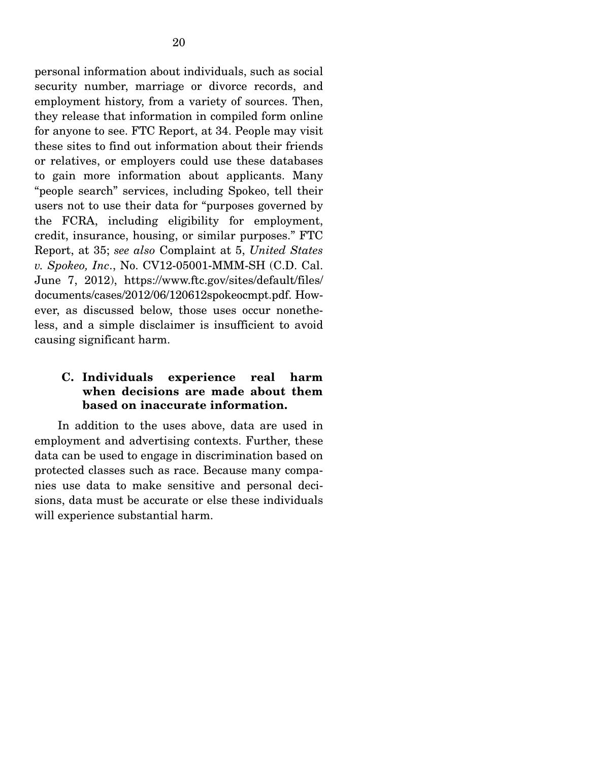personal information about individuals, such as social security number, marriage or divorce records, and employment history, from a variety of sources. Then, they release that information in compiled form online for anyone to see. FTC Report, at 34. People may visit these sites to find out information about their friends or relatives, or employers could use these databases to gain more information about applicants. Many "people search" services, including Spokeo, tell their users not to use their data for "purposes governed by the FCRA, including eligibility for employment, credit, insurance, housing, or similar purposes." FTC Report, at 35; *see also* Complaint at 5, *United States v. Spokeo, Inc*., No. CV12-05001-MMM-SH (C.D. Cal. June 7, 2012), https://www.ftc.gov/sites/default/files/ documents/cases/2012/06/120612spokeocmpt.pdf. However, as discussed below, those uses occur nonetheless, and a simple disclaimer is insufficient to avoid causing significant harm.

## **C. Individuals experience real harm when decisions are made about them based on inaccurate information.**

 In addition to the uses above, data are used in employment and advertising contexts. Further, these data can be used to engage in discrimination based on protected classes such as race. Because many companies use data to make sensitive and personal decisions, data must be accurate or else these individuals will experience substantial harm.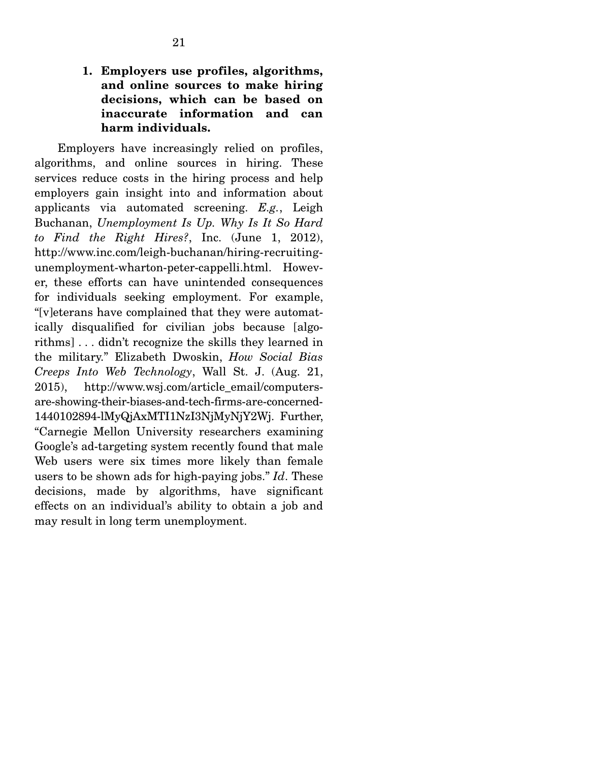**1. Employers use profiles, algorithms, and online sources to make hiring decisions, which can be based on inaccurate information and can harm individuals.** 

 Employers have increasingly relied on profiles, algorithms, and online sources in hiring. These services reduce costs in the hiring process and help employers gain insight into and information about applicants via automated screening. *E.g.*, Leigh Buchanan, *Unemployment Is Up. Why Is It So Hard to Find the Right Hires?*, Inc. (June 1, 2012), http://www.inc.com/leigh-buchanan/hiring-recruitingunemployment-wharton-peter-cappelli.html. However, these efforts can have unintended consequences for individuals seeking employment. For example, "[v]eterans have complained that they were automatically disqualified for civilian jobs because [algorithms] . . . didn't recognize the skills they learned in the military." Elizabeth Dwoskin, *How Social Bias Creeps Into Web Technology*, Wall St. J. (Aug. 21, 2015), http://www.wsj.com/article\_email/computersare-showing-their-biases-and-tech-firms-are-concerned-1440102894-lMyQjAxMTI1NzI3NjMyNjY2Wj. Further, "Carnegie Mellon University researchers examining Google's ad-targeting system recently found that male Web users were six times more likely than female users to be shown ads for high-paying jobs." *Id*. These decisions, made by algorithms, have significant effects on an individual's ability to obtain a job and may result in long term unemployment.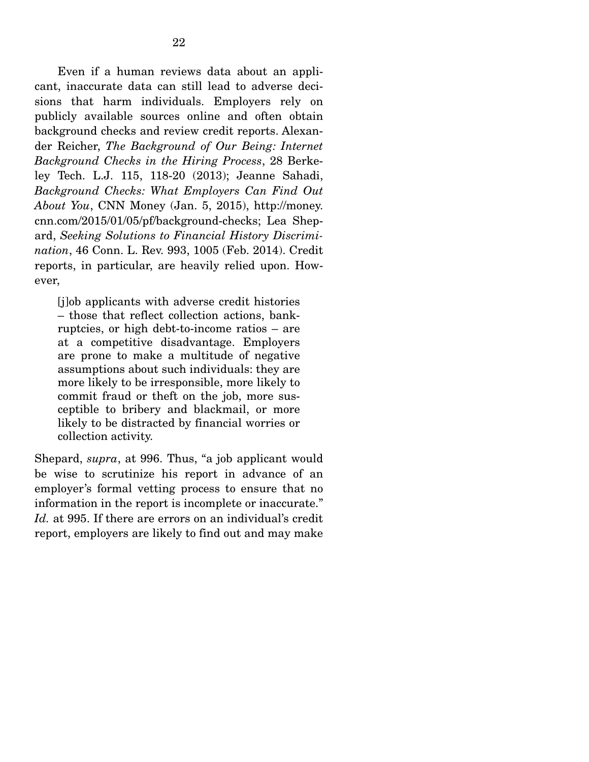Even if a human reviews data about an applicant, inaccurate data can still lead to adverse decisions that harm individuals. Employers rely on publicly available sources online and often obtain background checks and review credit reports. Alexander Reicher, *The Background of Our Being: Internet Background Checks in the Hiring Process*, 28 Berkeley Tech. L.J. 115, 118-20 (2013); Jeanne Sahadi, *Background Checks: What Employers Can Find Out About You*, CNN Money (Jan. 5, 2015), http://money. cnn.com/2015/01/05/pf/background-checks; Lea Shepard, *Seeking Solutions to Financial History Discrimination*, 46 Conn. L. Rev. 993, 1005 (Feb. 2014). Credit reports, in particular, are heavily relied upon. However,

[j]ob applicants with adverse credit histories – those that reflect collection actions, bankruptcies, or high debt-to-income ratios – are at a competitive disadvantage. Employers are prone to make a multitude of negative assumptions about such individuals: they are more likely to be irresponsible, more likely to commit fraud or theft on the job, more susceptible to bribery and blackmail, or more likely to be distracted by financial worries or collection activity.

Shepard, *supra*, at 996. Thus, "a job applicant would be wise to scrutinize his report in advance of an employer's formal vetting process to ensure that no information in the report is incomplete or inaccurate." *Id.* at 995. If there are errors on an individual's credit report, employers are likely to find out and may make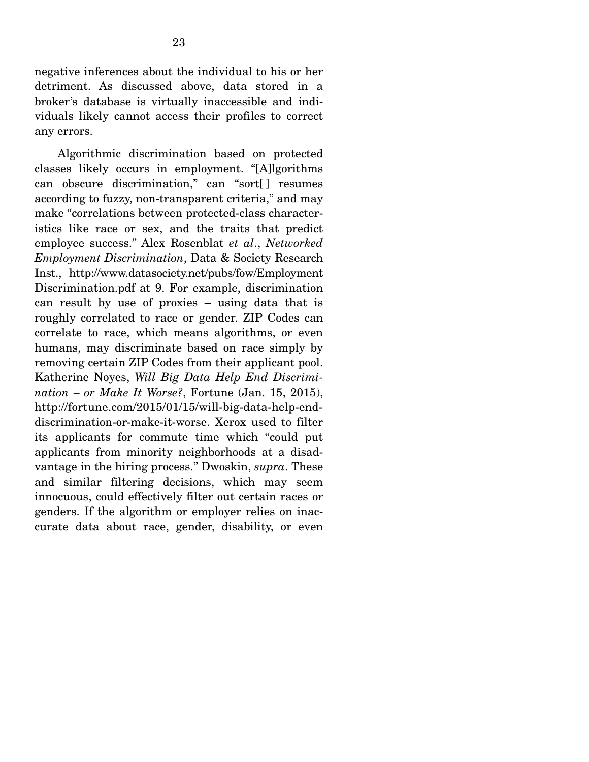negative inferences about the individual to his or her detriment. As discussed above, data stored in a broker's database is virtually inaccessible and individuals likely cannot access their profiles to correct any errors.

 Algorithmic discrimination based on protected classes likely occurs in employment. "[A]lgorithms can obscure discrimination," can "sort[ ] resumes according to fuzzy, non-transparent criteria," and may make "correlations between protected-class characteristics like race or sex, and the traits that predict employee success." Alex Rosenblat *et al*., *Networked Employment Discrimination*, Data & Society Research Inst., http://www.datasociety.net/pubs/fow/Employment Discrimination.pdf at 9. For example, discrimination can result by use of proxies – using data that is roughly correlated to race or gender. ZIP Codes can correlate to race, which means algorithms, or even humans, may discriminate based on race simply by removing certain ZIP Codes from their applicant pool. Katherine Noyes, *Will Big Data Help End Discrimination – or Make It Worse?*, Fortune (Jan. 15, 2015), http://fortune.com/2015/01/15/will-big-data-help-enddiscrimination-or-make-it-worse. Xerox used to filter its applicants for commute time which "could put applicants from minority neighborhoods at a disadvantage in the hiring process." Dwoskin, *supra*. These and similar filtering decisions, which may seem innocuous, could effectively filter out certain races or genders. If the algorithm or employer relies on inaccurate data about race, gender, disability, or even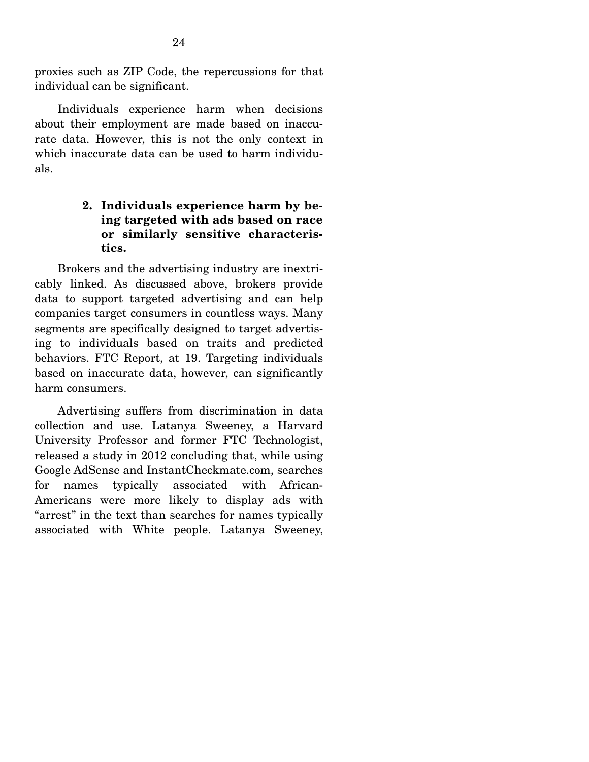proxies such as ZIP Code, the repercussions for that individual can be significant.

 Individuals experience harm when decisions about their employment are made based on inaccurate data. However, this is not the only context in which inaccurate data can be used to harm individuals.

## **2. Individuals experience harm by being targeted with ads based on race or similarly sensitive characteristics.**

 Brokers and the advertising industry are inextricably linked. As discussed above, brokers provide data to support targeted advertising and can help companies target consumers in countless ways. Many segments are specifically designed to target advertising to individuals based on traits and predicted behaviors. FTC Report, at 19. Targeting individuals based on inaccurate data, however, can significantly harm consumers.

 Advertising suffers from discrimination in data collection and use. Latanya Sweeney, a Harvard University Professor and former FTC Technologist, released a study in 2012 concluding that, while using Google AdSense and InstantCheckmate.com, searches for names typically associated with African-Americans were more likely to display ads with "arrest" in the text than searches for names typically associated with White people. Latanya Sweeney,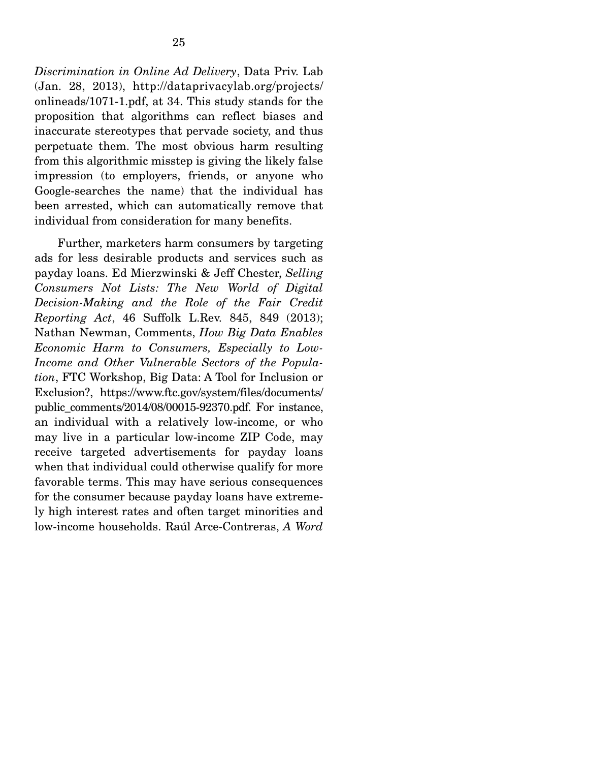*Discrimination in Online Ad Delivery*, Data Priv. Lab (Jan. 28, 2013), http://dataprivacylab.org/projects/ onlineads/1071-1.pdf, at 34. This study stands for the proposition that algorithms can reflect biases and inaccurate stereotypes that pervade society, and thus perpetuate them. The most obvious harm resulting from this algorithmic misstep is giving the likely false impression (to employers, friends, or anyone who Google-searches the name) that the individual has been arrested, which can automatically remove that individual from consideration for many benefits.

 Further, marketers harm consumers by targeting ads for less desirable products and services such as payday loans. Ed Mierzwinski & Jeff Chester, *Selling Consumers Not Lists: The New World of Digital Decision-Making and the Role of the Fair Credit Reporting Act*, 46 Suffolk L.Rev. 845, 849 (2013); Nathan Newman, Comments, *How Big Data Enables Economic Harm to Consumers, Especially to Low-Income and Other Vulnerable Sectors of the Population*, FTC Workshop, Big Data: A Tool for Inclusion or Exclusion?, https://www.ftc.gov/system/files/documents/ public\_comments/2014/08/00015-92370.pdf. For instance, an individual with a relatively low-income, or who may live in a particular low-income ZIP Code, may receive targeted advertisements for payday loans when that individual could otherwise qualify for more favorable terms. This may have serious consequences for the consumer because payday loans have extremely high interest rates and often target minorities and low-income households. Raúl Arce-Contreras, *A Word*